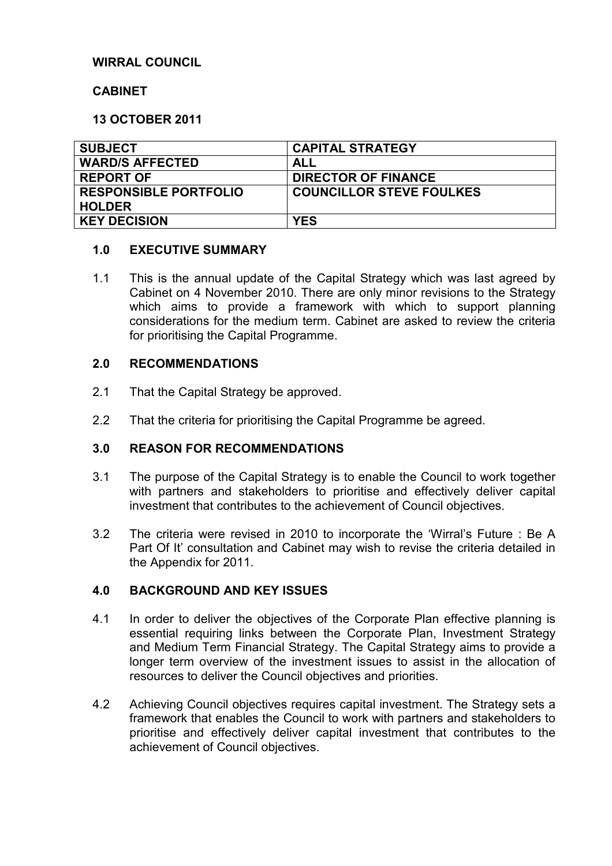# **WIRRAL COUNCIL**

#### **CABINET**

### **13 OCTOBER 2011**

| <b>SUBJECT</b>               | <b>CAPITAL STRATEGY</b>         |
|------------------------------|---------------------------------|
| <b>WARD/S AFFECTED</b>       | ALL                             |
| <b>REPORT OF</b>             | <b>DIRECTOR OF FINANCE</b>      |
| <b>RESPONSIBLE PORTFOLIO</b> | <b>COUNCILLOR STEVE FOULKES</b> |
| <b>HOLDER</b>                |                                 |
| <b>KEY DECISION</b>          | <b>YES</b>                      |

#### **1.0 EXECUTIVE SUMMARY**

1.1 This is the annual update of the Capital Strategy which was last agreed by Cabinet on 4 November 2010. There are only minor revisions to the Strategy which aims to provide a framework with which to support planning considerations for the medium term. Cabinet are asked to review the criteria for prioritising the Capital Programme.

#### **2.0 RECOMMENDATIONS**

- 2.1 That the Capital Strategy be approved.
- 2.2 That the criteria for prioritising the Capital Programme be agreed.

### **3.0 REASON FOR RECOMMENDATIONS**

- 3.1 The purpose of the Capital Strategy is to enable the Council to work together with partners and stakeholders to prioritise and effectively deliver capital investment that contributes to the achievement of Council objectives.
- 3.2 The criteria were revised in 2010 to incorporate the 'Wirral's Future : Be A Part Of It' consultation and Cabinet may wish to revise the criteria detailed in the Appendix for 2011.

### **4.0 BACKGROUND AND KEY ISSUES**

- 4.1 In order to deliver the objectives of the Corporate Plan effective planning is essential requiring links between the Corporate Plan, Investment Strategy and Medium Term Financial Strategy. The Capital Strategy aims to provide a longer term overview of the investment issues to assist in the allocation of resources to deliver the Council objectives and priorities.
- 4.2 Achieving Council objectives requires capital investment. The Strategy sets a framework that enables the Council to work with partners and stakeholders to prioritise and effectively deliver capital investment that contributes to the achievement of Council objectives.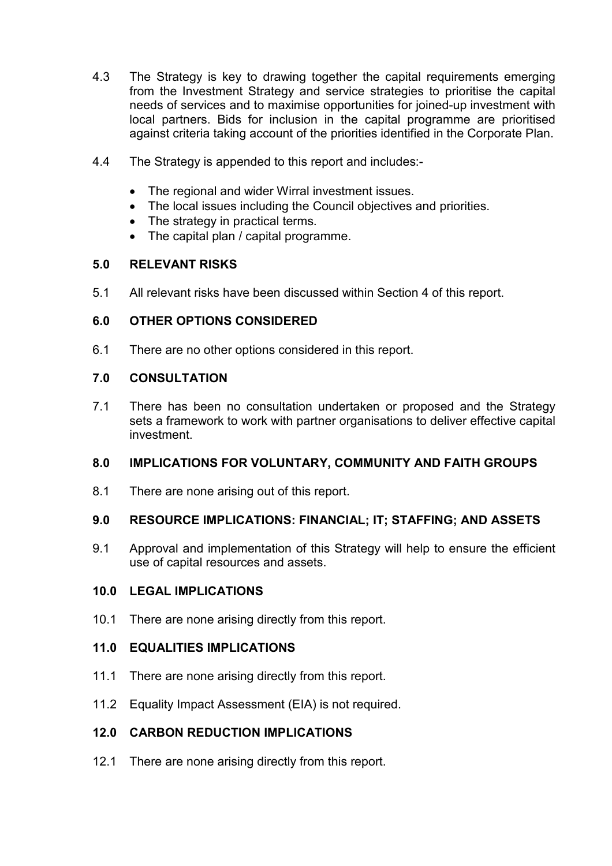- 4.3 The Strategy is key to drawing together the capital requirements emerging from the Investment Strategy and service strategies to prioritise the capital needs of services and to maximise opportunities for joined-up investment with local partners. Bids for inclusion in the capital programme are prioritised against criteria taking account of the priorities identified in the Corporate Plan.
- 4.4 The Strategy is appended to this report and includes:-
	- The regional and wider Wirral investment issues.
	- The local issues including the Council objectives and priorities.
	- The strategy in practical terms.
	- The capital plan / capital programme.

## **5.0 RELEVANT RISKS**

5.1 All relevant risks have been discussed within Section 4 of this report.

## **6.0 OTHER OPTIONS CONSIDERED**

6.1 There are no other options considered in this report.

### **7.0 CONSULTATION**

7.1 There has been no consultation undertaken or proposed and the Strategy sets a framework to work with partner organisations to deliver effective capital investment.

### **8.0 IMPLICATIONS FOR VOLUNTARY, COMMUNITY AND FAITH GROUPS**

8.1 There are none arising out of this report.

### **9.0 RESOURCE IMPLICATIONS: FINANCIAL; IT; STAFFING; AND ASSETS**

9.1 Approval and implementation of this Strategy will help to ensure the efficient use of capital resources and assets.

### **10.0 LEGAL IMPLICATIONS**

10.1 There are none arising directly from this report.

### **11.0 EQUALITIES IMPLICATIONS**

- 11.1 There are none arising directly from this report.
- 11.2 Equality Impact Assessment (EIA) is not required.

# **12.0 CARBON REDUCTION IMPLICATIONS**

12.1 There are none arising directly from this report.